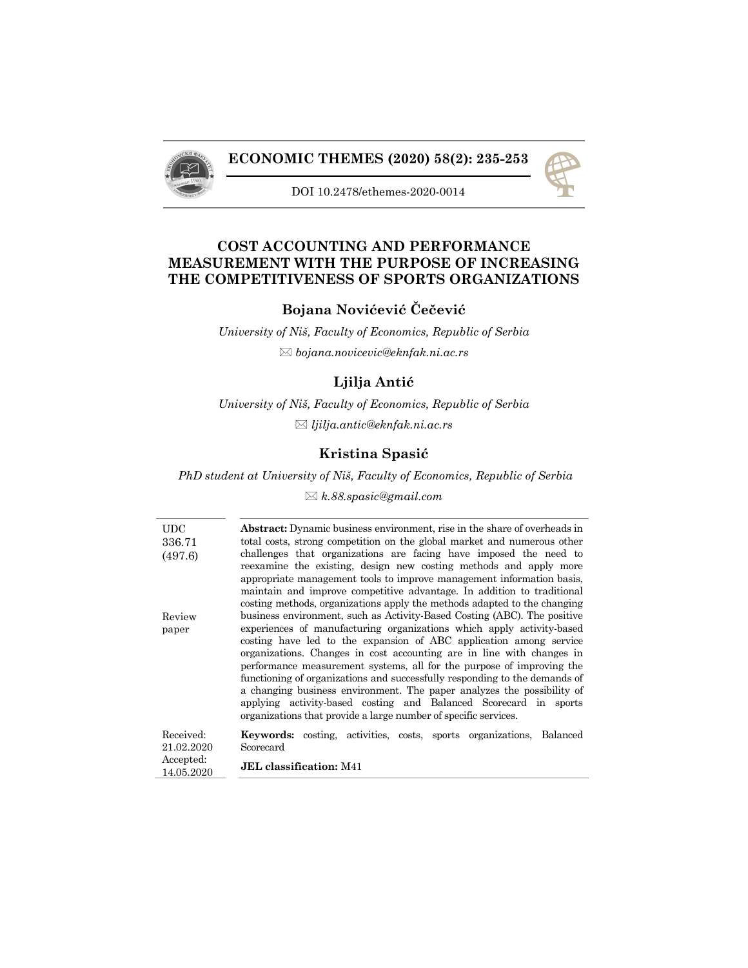

## **ECONOMIC THEMES (2020) 58(2): 235-253**



DOI 10.2478/ethemes-2020-0014

# **COST ACCOUNTING AND PERFORMANCE MEASUREMENT WITH THE PURPOSE OF INCREASING THE COMPETITIVENESS OF SPORTS ORGANIZATIONS**

## **Bojana Novićević Čečević**

*University of Niš, Faculty of Economics, Republic of Serbia bojana.novicevic@eknfak.ni.ac.rs*

## **Ljilja Antić**

*University of Niš, Faculty of Economics, Republic of Serbia ljilja.antic@eknfak.ni.ac.rs*

# **Kristina Spasić**

*PhD student at University of Niš, Faculty of Economics, Republic of Serbia*

*k.88.spasic@gmail.com*

| UDC<br>336.71<br>(497.6)                       | <b>Abstract:</b> Dynamic business environment, rise in the share of overheads in<br>total costs, strong competition on the global market and numerous other<br>challenges that organizations are facing have imposed the need to<br>reexamine the existing, design new costing methods and apply more<br>appropriate management tools to improve management information basis,<br>maintain and improve competitive advantage. In addition to traditional<br>costing methods, organizations apply the methods adapted to the changing                                                                                                                                     |
|------------------------------------------------|--------------------------------------------------------------------------------------------------------------------------------------------------------------------------------------------------------------------------------------------------------------------------------------------------------------------------------------------------------------------------------------------------------------------------------------------------------------------------------------------------------------------------------------------------------------------------------------------------------------------------------------------------------------------------|
| Review<br>paper                                | business environment, such as Activity-Based Costing (ABC). The positive<br>experiences of manufacturing organizations which apply activity-based<br>costing have led to the expansion of ABC application among service<br>organizations. Changes in cost accounting are in line with changes in<br>performance measurement systems, all for the purpose of improving the<br>functioning of organizations and successfully responding to the demands of<br>a changing business environment. The paper analyzes the possibility of<br>applying activity-based costing and Balanced Scorecard in sports<br>organizations that provide a large number of specific services. |
| Received:<br>21.02.2020<br>$\Lambda$ cooperade | <b>Keywords:</b> costing, activities, costs, sports organizations, Balanced<br>Scorecard                                                                                                                                                                                                                                                                                                                                                                                                                                                                                                                                                                                 |

Accepted: 14.05.2020 **JEL classification:** M41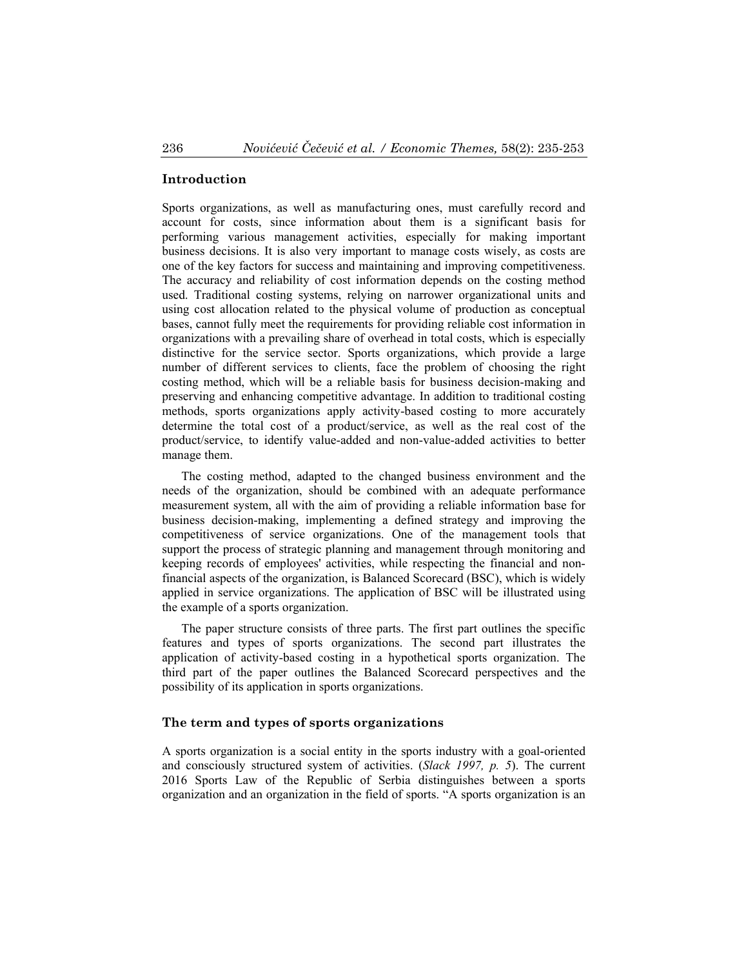#### **Introduction**

Sports organizations, as well as manufacturing ones, must carefully record and account for costs, since information about them is a significant basis for performing various management activities, especially for making important business decisions. It is also very important to manage costs wisely, as costs are one of the key factors for success and maintaining and improving competitiveness. The accuracy and reliability of cost information depends on the costing method used. Traditional costing systems, relying on narrower organizational units and using cost allocation related to the physical volume of production as conceptual bases, cannot fully meet the requirements for providing reliable cost information in organizations with a prevailing share of overhead in total costs, which is especially distinctive for the service sector. Sports organizations, which provide a large number of different services to clients, face the problem of choosing the right costing method, which will be a reliable basis for business decision-making and preserving and enhancing competitive advantage. In addition to traditional costing methods, sports organizations apply activity-based costing to more accurately determine the total cost of a product/service, as well as the real cost of the product/service, to identify value-added and non-value-added activities to better manage them.

The costing method, adapted to the changed business environment and the needs of the organization, should be combined with an adequate performance measurement system, all with the aim of providing a reliable information base for business decision-making, implementing a defined strategy and improving the competitiveness of service organizations. One of the management tools that support the process of strategic planning and management through monitoring and keeping records of employees' activities, while respecting the financial and nonfinancial aspects of the organization, is Balanced Scorecard (BSC), which is widely applied in service organizations. The application of BSC will be illustrated using the example of a sports organization.

The paper structure consists of three parts. The first part outlines the specific features and types of sports organizations. The second part illustrates the application of activity-based costing in a hypothetical sports organization. The third part of the paper outlines the Balanced Scorecard perspectives and the possibility of its application in sports organizations.

### **The term and types of sports organizations**

A sports organization is a social entity in the sports industry with a goal-oriented and consciously structured system of activities. (*Slack 1997, p. 5*). The current 2016 Sports Law of the Republic of Serbia distinguishes between a sports organization and an organization in the field of sports. "A sports organization is an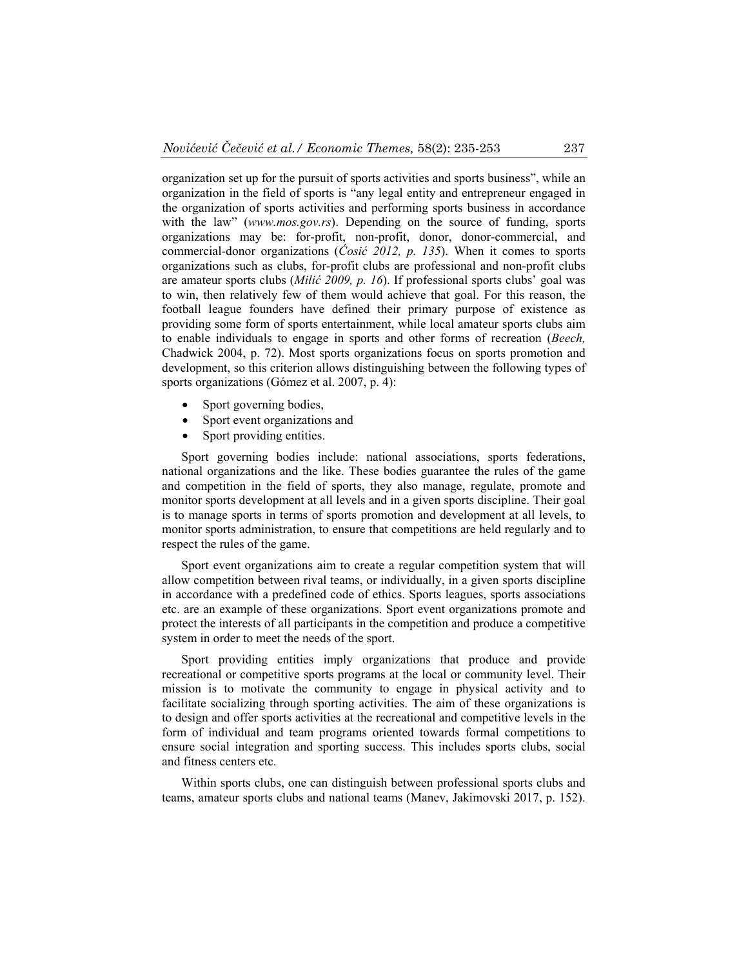organization set up for the pursuit of sports activities and sports business", while an organization in the field of sports is "any legal entity and entrepreneur engaged in the organization of sports activities and performing sports business in accordance with the law" (*www.mos.gov.rs*). Depending on the source of funding, sports organizations may be: for-profit, non-profit, donor, donor-commercial, and commercial-donor organizations (*Ćosić 2012, p. 135*). When it comes to sports organizations such as clubs, for-profit clubs are professional and non-profit clubs are amateur sports clubs (*Milić 2009, p. 16*). If professional sports clubs' goal was to win, then relatively few of them would achieve that goal. For this reason, the football league founders have defined their primary purpose of existence as providing some form of sports entertainment, while local amateur sports clubs aim to enable individuals to engage in sports and other forms of recreation (*Beech,*  Chadwick 2004, p. 72). Most sports organizations focus on sports promotion and development, so this criterion allows distinguishing between the following types of sports organizations (Gómez et al. 2007, p. 4):

- Sport governing bodies,
- Sport event organizations and
- Sport providing entities.

Sport governing bodies include: national associations, sports federations, national organizations and the like. These bodies guarantee the rules of the game and competition in the field of sports, they also manage, regulate, promote and monitor sports development at all levels and in a given sports discipline. Their goal is to manage sports in terms of sports promotion and development at all levels, to monitor sports administration, to ensure that competitions are held regularly and to respect the rules of the game.

Sport event organizations aim to create a regular competition system that will allow competition between rival teams, or individually, in a given sports discipline in accordance with a predefined code of ethics. Sports leagues, sports associations etc. are an example of these organizations. Sport event organizations promote and protect the interests of all participants in the competition and produce a competitive system in order to meet the needs of the sport.

Sport providing entities imply organizations that produce and provide recreational or competitive sports programs at the local or community level. Their mission is to motivate the community to engage in physical activity and to facilitate socializing through sporting activities. The aim of these organizations is to design and offer sports activities at the recreational and competitive levels in the form of individual and team programs oriented towards formal competitions to ensure social integration and sporting success. This includes sports clubs, social and fitness centers etc.

Within sports clubs, one can distinguish between professional sports clubs and teams, amateur sports clubs and national teams (Manev, Jakimovski 2017, p. 152).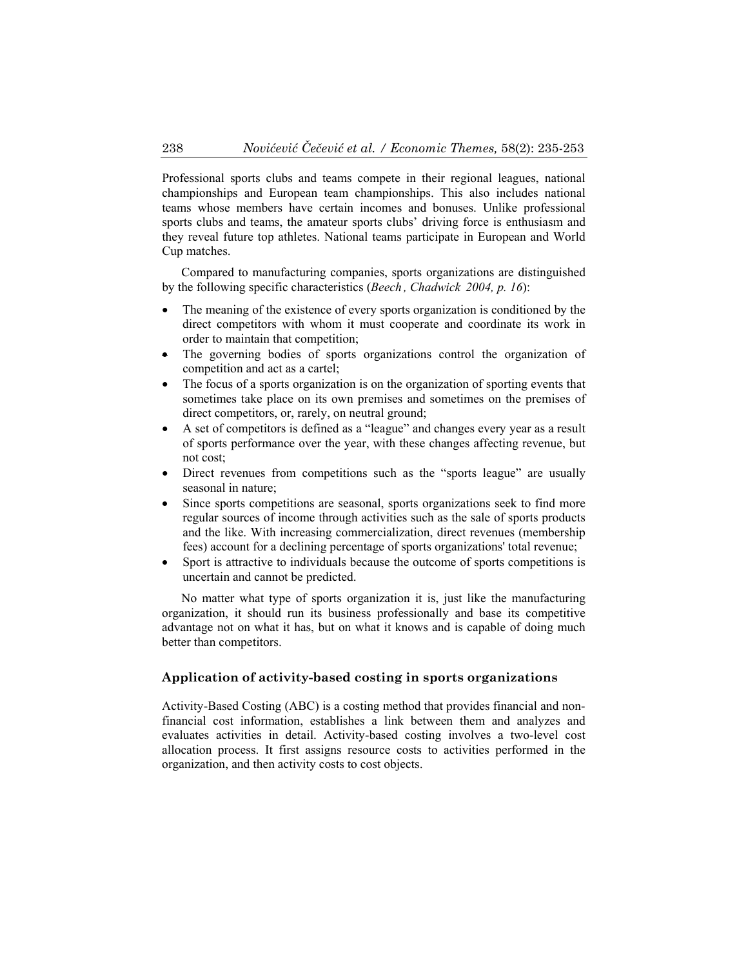Professional sports clubs and teams compete in their regional leagues, national championships and European team championships. This also includes national teams whose members have certain incomes and bonuses. Unlike professional sports clubs and teams, the amateur sports clubs' driving force is enthusiasm and they reveal future top athletes. National teams participate in European and World Cup matches.

Compared to manufacturing companies, sports organizations are distinguished by the following specific characteristics (*Beech , Chadwick 2004, p. 16*):

- The meaning of the existence of every sports organization is conditioned by the direct competitors with whom it must cooperate and coordinate its work in order to maintain that competition;
- The governing bodies of sports organizations control the organization of competition and act as a cartel;
- The focus of a sports organization is on the organization of sporting events that sometimes take place on its own premises and sometimes on the premises of direct competitors, or, rarely, on neutral ground;
- A set of competitors is defined as a "league" and changes every year as a result of sports performance over the year, with these changes affecting revenue, but not cost;
- Direct revenues from competitions such as the "sports league" are usually seasonal in nature;
- Since sports competitions are seasonal, sports organizations seek to find more regular sources of income through activities such as the sale of sports products and the like. With increasing commercialization, direct revenues (membership fees) account for a declining percentage of sports organizations' total revenue;
- Sport is attractive to individuals because the outcome of sports competitions is uncertain and cannot be predicted.

No matter what type of sports organization it is, just like the manufacturing organization, it should run its business professionally and base its competitive advantage not on what it has, but on what it knows and is capable of doing much better than competitors.

### **Application of activity-based costing in sports organizations**

Activity-Based Costing (ABC) is a costing method that provides financial and nonfinancial cost information, establishes a link between them and analyzes and evaluates activities in detail. Activity-based costing involves a two-level cost allocation process. It first assigns resource costs to activities performed in the organization, and then activity costs to cost objects.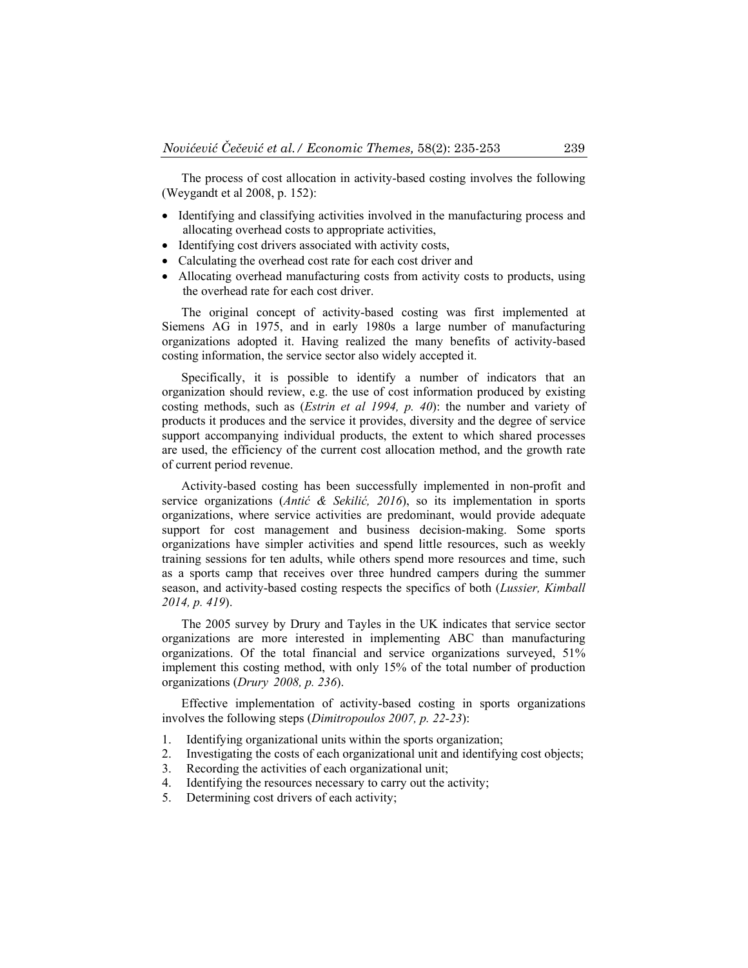The process of cost allocation in activity-based costing involves the following (Weygandt et al 2008, p. 152):

- Identifying and classifying activities involved in the manufacturing process and allocating overhead costs to appropriate activities,
- Identifying cost drivers associated with activity costs,
- Calculating the overhead cost rate for each cost driver and
- Allocating overhead manufacturing costs from activity costs to products, using the overhead rate for each cost driver.

The original concept of activity-based costing was first implemented at Siemens AG in 1975, and in early 1980s a large number of manufacturing organizations adopted it. Having realized the many benefits of activity-based costing information, the service sector also widely accepted it.

Specifically, it is possible to identify a number of indicators that an organization should review, e.g. the use of cost information produced by existing costing methods, such as (*Estrin et al 1994, p. 40*): the number and variety of products it produces and the service it provides, diversity and the degree of service support accompanying individual products, the extent to which shared processes are used, the efficiency of the current cost allocation method, and the growth rate of current period revenue.

Activity-based costing has been successfully implemented in non-profit and service organizations (*Antić & Sekilić, 2016*), so its implementation in sports organizations, where service activities are predominant, would provide adequate support for cost management and business decision-making. Some sports organizations have simpler activities and spend little resources, such as weekly training sessions for ten adults, while others spend more resources and time, such as a sports camp that receives over three hundred campers during the summer season, and activity-based costing respects the specifics of both (*Lussier, Kimball 2014, p. 419*).

The 2005 survey by Drury and Tayles in the UK indicates that service sector organizations are more interested in implementing ABC than manufacturing organizations. Of the total financial and service organizations surveyed, 51% implement this costing method, with only 15% of the total number of production organizations (*Drury 2008, p. 236*).

Effective implementation of activity-based costing in sports organizations involves the following steps (*Dimitropoulos 2007, p. 22-23*):

- 1. Identifying organizational units within the sports organization;
- 2. Investigating the costs of each organizational unit and identifying cost objects;
- 3. Recording the activities of each organizational unit;
- 4. Identifying the resources necessary to carry out the activity;
- 5. Determining cost drivers of each activity;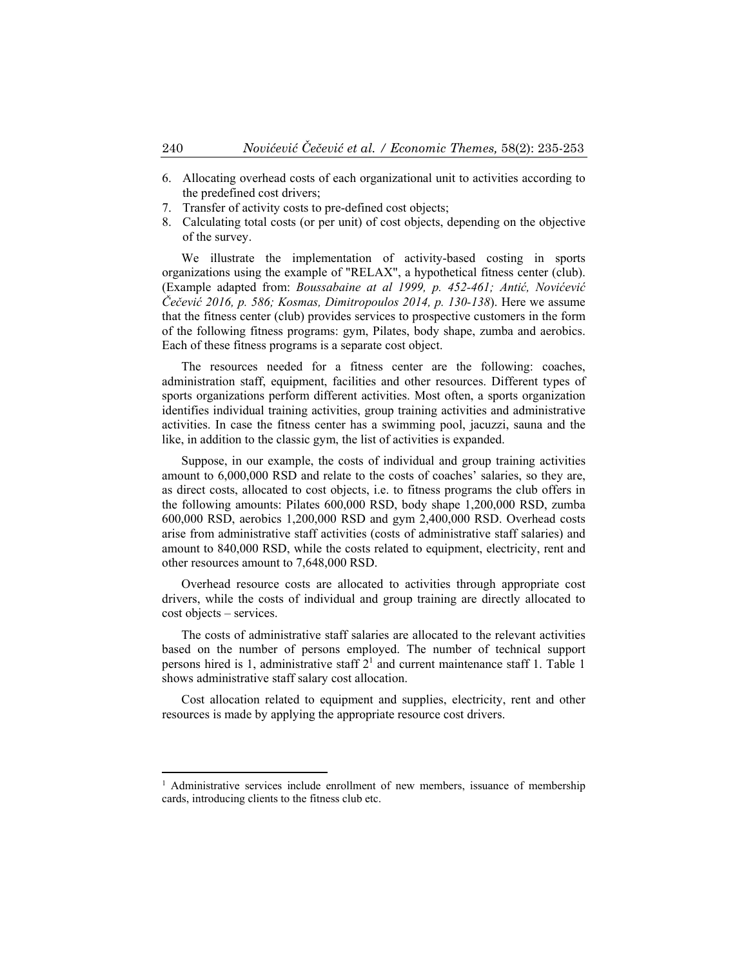- 6. Allocating overhead costs of each organizational unit to activities according to the predefined cost drivers;
- 7. Transfer of activity costs to pre-defined cost objects;
- 8. Calculating total costs (or per unit) of cost objects, depending on the objective of the survey.

We illustrate the implementation of activity-based costing in sports organizations using the example of "RELAX", a hypothetical fitness center (club). (Example adapted from: *Boussabaine at al 1999, p. 452-461; Antić, Novićević Čečević 2016, p. 586; Kosmas, Dimitropoulos 2014, p. 130-138*). Here we assume that the fitness center (club) provides services to prospective customers in the form of the following fitness programs: gym, Pilates, body shape, zumba and aerobics. Each of these fitness programs is a separate cost object.

The resources needed for a fitness center are the following: coaches, administration staff, equipment, facilities and other resources. Different types of sports organizations perform different activities. Most often, a sports organization identifies individual training activities, group training activities and administrative activities. In case the fitness center has a swimming pool, jacuzzi, sauna and the like, in addition to the classic gym, the list of activities is expanded.

Suppose, in our example, the costs of individual and group training activities amount to 6,000,000 RSD and relate to the costs of coaches' salaries, so they are, as direct costs, allocated to cost objects, i.e. to fitness programs the club offers in the following amounts: Pilates 600,000 RSD, body shape 1,200,000 RSD, zumba 600,000 RSD, aerobics 1,200,000 RSD and gym 2,400,000 RSD. Overhead costs arise from administrative staff activities (costs of administrative staff salaries) and amount to 840,000 RSD, while the costs related to equipment, electricity, rent and other resources amount to 7,648,000 RSD.

Overhead resource costs are allocated to activities through appropriate cost drivers, while the costs of individual and group training are directly allocated to cost objects – services.

The costs of administrative staff salaries are allocated to the relevant activities based on the number of persons employed. The number of technical support persons hired is 1, administrative staff  $2<sup>1</sup>$  and current maintenance staff 1. Table 1 shows administrative staff salary cost allocation.

Cost allocation related to equipment and supplies, electricity, rent and other resources is made by applying the appropriate resource cost drivers.

 $\overline{a}$ 

<sup>&</sup>lt;sup>1</sup> Administrative services include enrollment of new members, issuance of membership cards, introducing clients to the fitness club etc.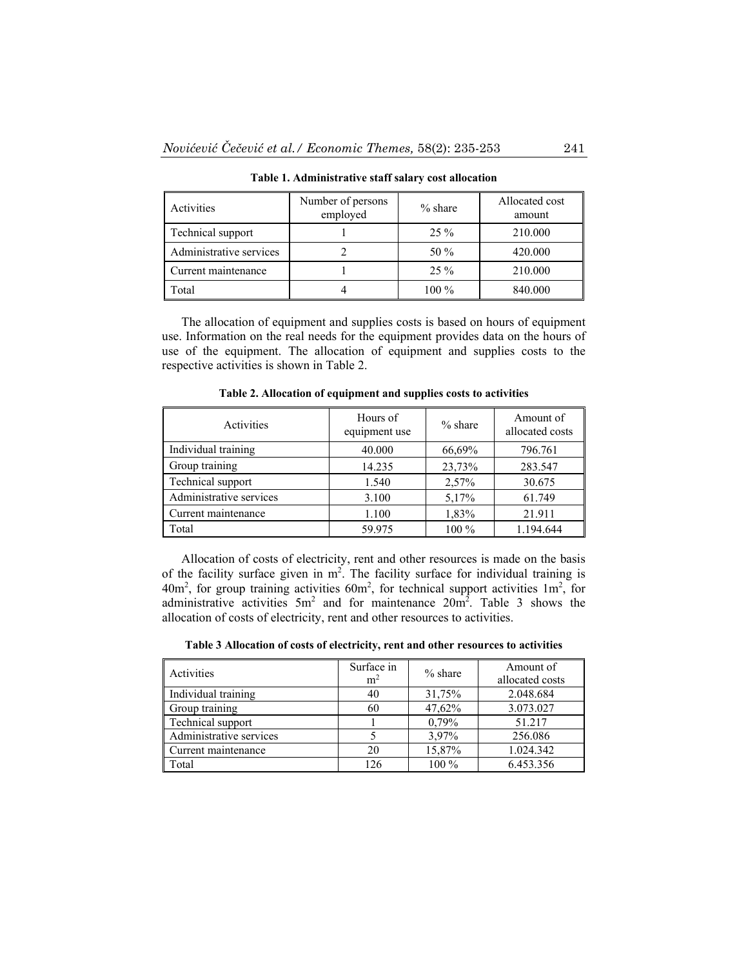| Activities              | Number of persons<br>employed | $%$ share | Allocated cost<br>amount |
|-------------------------|-------------------------------|-----------|--------------------------|
| Technical support       |                               | $25\%$    | 210.000                  |
| Administrative services |                               | 50 $\%$   | 420.000                  |
| Current maintenance     |                               | $25\%$    | 210.000                  |
| Total                   |                               | 100 %     | 840.000                  |

**Table 1. Administrative staff salary cost allocation** 

The allocation of equipment and supplies costs is based on hours of equipment use. Information on the real needs for the equipment provides data on the hours of use of the equipment. The allocation of equipment and supplies costs to the respective activities is shown in Table 2.

| Activities              | Hours of<br>equipment use | $%$ share | Amount of<br>allocated costs |
|-------------------------|---------------------------|-----------|------------------------------|
| Individual training     | 40.000                    | 66,69%    | 796.761                      |
| Group training          | 14.235                    | 23,73%    | 283.547                      |
| Technical support       | 1.540                     | 2,57%     | 30.675                       |
| Administrative services | 3.100                     | 5,17%     | 61.749                       |
| Current maintenance     | 1.100                     | 1,83%     | 21.911                       |
| Total                   | 59.975                    | $100\%$   | 1.194.644                    |

**Table 2. Allocation of equipment and supplies costs to activities** 

Allocation of costs of electricity, rent and other resources is made on the basis of the facility surface given in  $m^2$ . The facility surface for individual training is  $40m^2$ , for group training activities  $60m^2$ , for technical support activities  $1m^2$ , for administrative activities  $5m^2$  and for maintenance  $20m^2$ . Table 3 shows the allocation of costs of electricity, rent and other resources to activities.

| Table 3 Allocation of costs of electricity, rent and other resources to activities |
|------------------------------------------------------------------------------------|
|------------------------------------------------------------------------------------|

| Activities              | Surface in<br>m <sup>2</sup> | $%$ share | Amount of<br>allocated costs |
|-------------------------|------------------------------|-----------|------------------------------|
| Individual training     | 40                           | 31,75%    | 2.048.684                    |
| Group training          | 60                           | 47,62%    | 3.073.027                    |
| Technical support       |                              | 0,79%     | 51.217                       |
| Administrative services |                              | 3,97%     | 256.086                      |
| Current maintenance     | 20                           | 15,87%    | 1.024.342                    |
| Total                   | 126                          | $100\%$   | 6.453.356                    |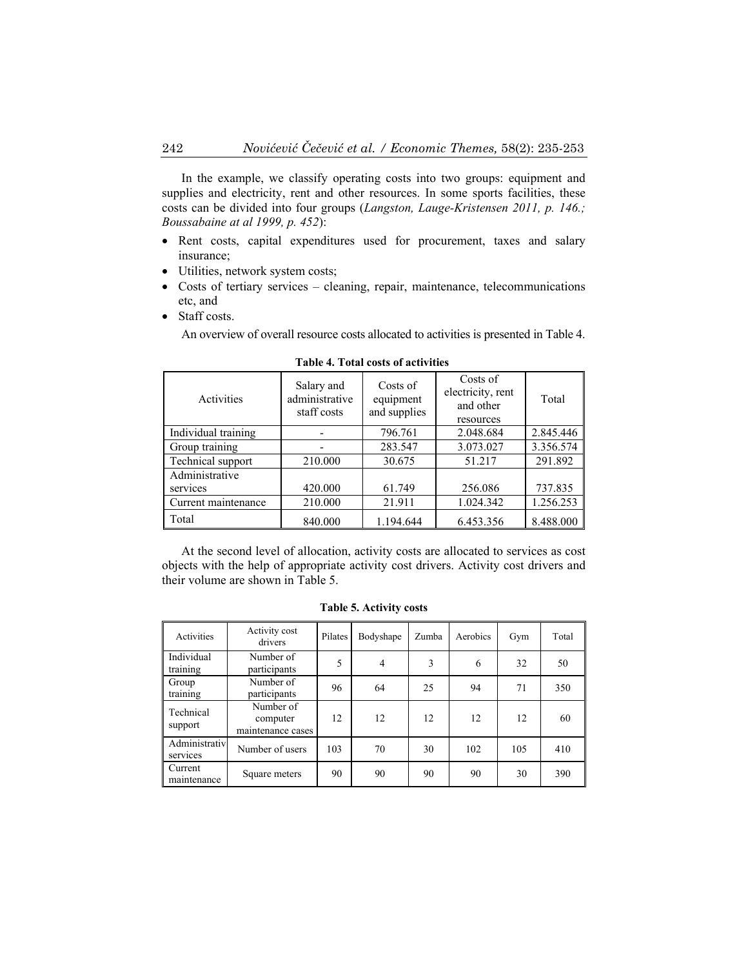In the example, we classify operating costs into two groups: equipment and supplies and electricity, rent and other resources. In some sports facilities, these costs can be divided into four groups (*Langston, Lauge-Kristensen 2011, p. 146.; Boussabaine at al 1999, p. 452*):

- Rent costs, capital expenditures used for procurement, taxes and salary insurance;
- Utilities, network system costs;
- Costs of tertiary services cleaning, repair, maintenance, telecommunications etc, and
- Staff costs.

An overview of overall resource costs allocated to activities is presented in Table 4.

| Activities          | Salary and<br>administrative<br>staff costs | Costs of<br>equipment<br>and supplies | Costs of<br>electricity, rent<br>and other<br>resources | Total     |
|---------------------|---------------------------------------------|---------------------------------------|---------------------------------------------------------|-----------|
| Individual training |                                             | 796.761                               | 2.048.684                                               | 2.845.446 |
| Group training      |                                             | 283.547                               | 3.073.027                                               | 3.356.574 |
| Technical support   | 210.000                                     | 30.675                                | 51.217                                                  | 291.892   |
| Administrative      |                                             |                                       |                                                         |           |
| services            | 420.000                                     | 61.749                                | 256.086                                                 | 737.835   |
| Current maintenance | 210.000                                     | 21.911                                | 1.024.342                                               | 1.256.253 |
| Total               | 840.000                                     | 1.194.644                             | 6.453.356                                               | 8.488.000 |

**Table 4. Total costs of activities** 

At the second level of allocation, activity costs are allocated to services as cost objects with the help of appropriate activity cost drivers. Activity cost drivers and their volume are shown in Table 5.

| <b>Activities</b>         | Activity cost<br>drivers                   | Pilates | Bodyshape      | Zumba | Aerobics | Gym | Total |
|---------------------------|--------------------------------------------|---------|----------------|-------|----------|-----|-------|
| Individual<br>training    | Number of<br>participants                  | 5       | $\overline{4}$ | 3     | 6        | 32  | 50    |
| Group<br>training         | Number of<br>participants                  | 96      | 64             | 25    | 94       | 71  | 350   |
| Technical<br>support      | Number of<br>computer<br>maintenance cases | 12      | 12             | 12    | 12       | 12  | 60    |
| Administrativ<br>services | Number of users                            | 103     | 70             | 30    | 102      | 105 | 410   |
| Current<br>maintenance    | Square meters                              | 90      | 90             | 90    | 90       | 30  | 390   |

**Table 5. Activity costs**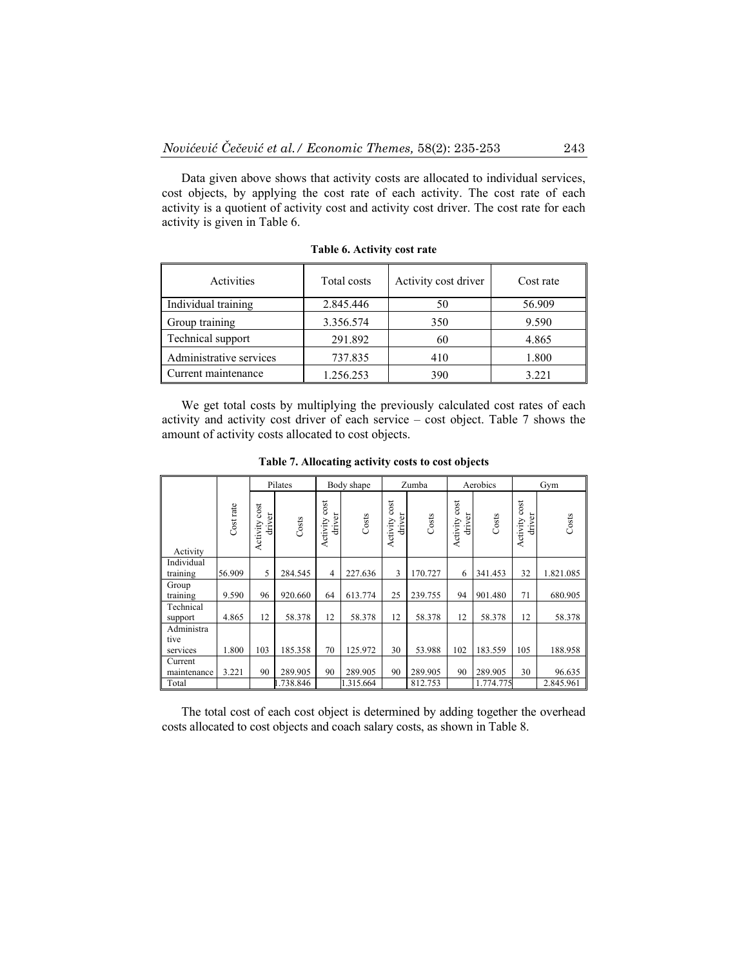Data given above shows that activity costs are allocated to individual services, cost objects, by applying the cost rate of each activity. The cost rate of each activity is a quotient of activity cost and activity cost driver. The cost rate for each activity is given in Table 6.

| Activities              | Total costs | Activity cost driver | Cost rate |
|-------------------------|-------------|----------------------|-----------|
| Individual training     | 2.845.446   | 50                   | 56.909    |
| Group training          | 3.356.574   | 350                  | 9.590     |
| Technical support       | 291.892     | 60                   | 4.865     |
| Administrative services | 737.835     | 410                  | 1.800     |
| Current maintenance     | 1.256.253   | 390                  | 3.221     |

**Table 6. Activity cost rate** 

We get total costs by multiplying the previously calculated cost rates of each activity and activity cost driver of each service – cost object. Table 7 shows the amount of activity costs allocated to cost objects.

|                                |           |                            | Pilates  |                            | Body shape |                            | Zumba   |                            | Aerobics  |                         | Gym       |
|--------------------------------|-----------|----------------------------|----------|----------------------------|------------|----------------------------|---------|----------------------------|-----------|-------------------------|-----------|
| Activity                       | Cost rate | cost<br>driver<br>Activity | Costs    | cost<br>driver<br>Activity | Costs      | cost<br>driver<br>Activity | Costs   | cost<br>driver<br>Activity | Costs     | Activity cost<br>driver | Costs     |
| Individual<br>training         | 56.909    | 5                          | 284.545  | 4                          | 227.636    | 3                          | 170.727 | 6                          | 341.453   | 32                      | 1.821.085 |
| Group<br>training              | 9.590     | 96                         | 920.660  | 64                         | 613.774    | 25                         | 239.755 | 94                         | 901.480   | 71                      | 680.905   |
| Technical<br>support           | 4.865     | 12                         | 58.378   | 12                         | 58.378     | 12                         | 58.378  | 12                         | 58.378    | 12                      | 58.378    |
| Administra<br>tive<br>services | 1.800     | 103                        | 185.358  | 70                         | 125.972    | 30                         | 53.988  | 102                        | 183.559   | 105                     | 188.958   |
| Current<br>maintenance         | 3.221     | 90                         | 289.905  | 90                         | 289.905    | 90                         | 289.905 | 90                         | 289.905   | 30                      | 96.635    |
| Total                          |           |                            | .738.846 |                            | 1.315.664  |                            | 812.753 |                            | 1.774.775 |                         | 2.845.961 |

**Table 7. Allocating activity costs to cost objects** 

The total cost of each cost object is determined by adding together the overhead costs allocated to cost objects and coach salary costs, as shown in Table 8.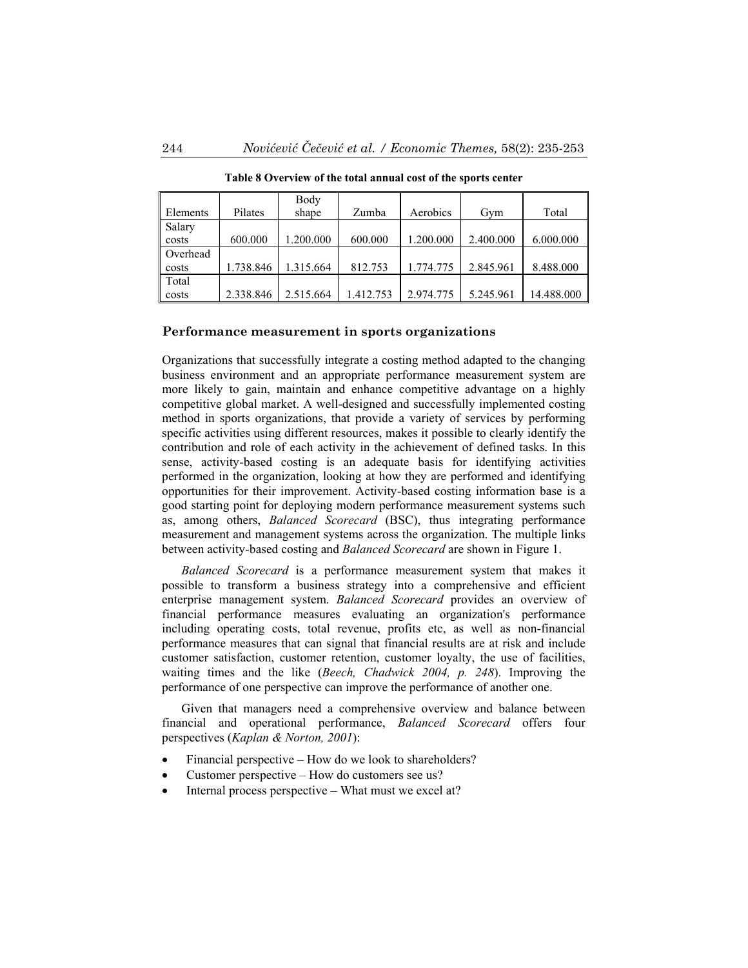|          |           | Body      |           |           |           |            |
|----------|-----------|-----------|-----------|-----------|-----------|------------|
| Elements | Pilates   | shape     | Zumba     | Aerobics  | Gym       | Total      |
| Salary   |           |           |           |           |           |            |
| costs    | 600.000   | .200.000  | 600.000   | 1.200.000 | 2.400.000 | 6.000.000  |
| Overhead |           |           |           |           |           |            |
| costs    | 1.738.846 | 1.315.664 | 812.753   | 1.774.775 | 2.845.961 | 8.488.000  |
| Total    |           |           |           |           |           |            |
| costs    | 2.338.846 | 2.515.664 | 1.412.753 | 2.974.775 | 5.245.961 | 14.488.000 |

**Table 8 Overview of the total annual cost of the sports center**

#### **Performance measurement in sports organizations**

Organizations that successfully integrate a costing method adapted to the changing business environment and an appropriate performance measurement system are more likely to gain, maintain and enhance competitive advantage on a highly competitive global market. A well-designed and successfully implemented costing method in sports organizations, that provide a variety of services by performing specific activities using different resources, makes it possible to clearly identify the contribution and role of each activity in the achievement of defined tasks. In this sense, activity-based costing is an adequate basis for identifying activities performed in the organization, looking at how they are performed and identifying opportunities for their improvement. Activity-based costing information base is a good starting point for deploying modern performance measurement systems such as, among others, *Balanced Scorecard* (BSC), thus integrating performance measurement and management systems across the organization. The multiple links between activity-based costing and *Balanced Scorecard* are shown in Figure 1.

*Balanced Scorecard* is a performance measurement system that makes it possible to transform a business strategy into a comprehensive and efficient enterprise management system. *Balanced Scorecard* provides an overview of financial performance measures evaluating an organization's performance including operating costs, total revenue, profits etc, as well as non-financial performance measures that can signal that financial results are at risk and include customer satisfaction, customer retention, customer loyalty, the use of facilities, waiting times and the like (*Beech, Chadwick 2004, p. 248*). Improving the performance of one perspective can improve the performance of another one.

Given that managers need a comprehensive overview and balance between financial and operational performance, *Balanced Scorecard* offers four perspectives (*Kaplan & Norton, 2001*):

- Financial perspective How do we look to shareholders?
- Customer perspective How do customers see us?
- Internal process perspective What must we excel at?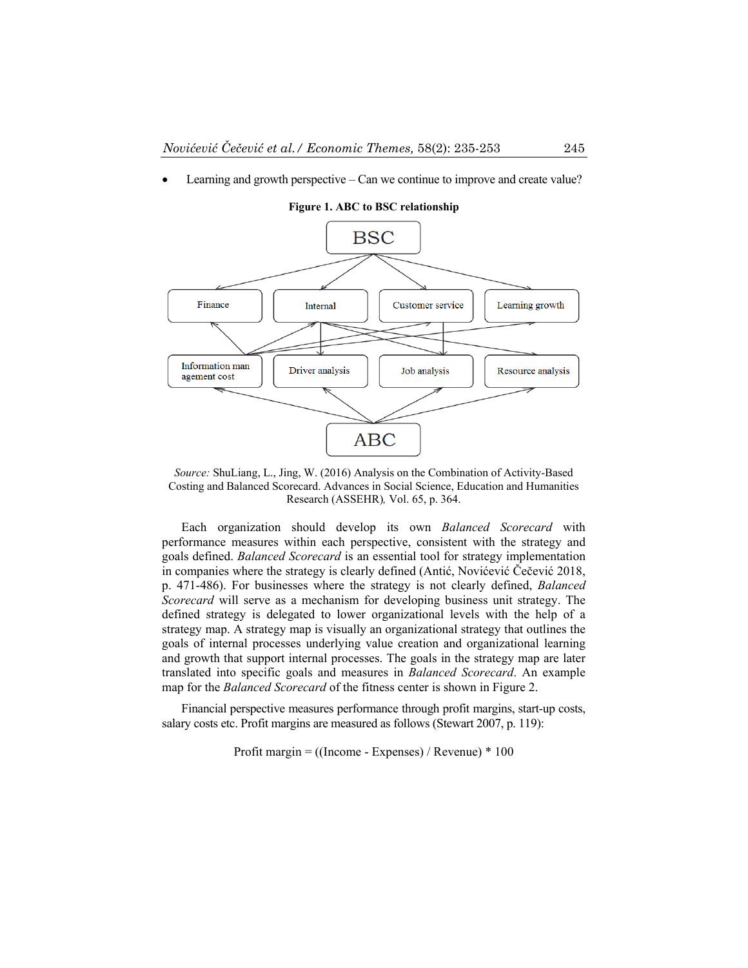Learning and growth perspective – Can we continue to improve and create value?



**Figure 1. ABC to BSC relationship** 

*Source:* ShuLiang, L., Jing, W. (2016) Analysis on the Combination of Activity-Based Costing and Balanced Scorecard. Advances in Social Science, Education and Humanities Research (ASSEHR)*,* Vol. 65, p. 364.

Each organization should develop its own *Balanced Scorecard* with performance measures within each perspective, consistent with the strategy and goals defined. *Balanced Scorecard* is an essential tool for strategy implementation in companies where the strategy is clearly defined (Antić, Novićević Čečević 2018, p. 471-486). For businesses where the strategy is not clearly defined, *Balanced Scorecard* will serve as a mechanism for developing business unit strategy. The defined strategy is delegated to lower organizational levels with the help of a strategy map. A strategy map is visually an organizational strategy that outlines the goals of internal processes underlying value creation and organizational learning and growth that support internal processes. The goals in the strategy map are later translated into specific goals and measures in *Balanced Scorecard*. An example map for the *Balanced Scorecard* of the fitness center is shown in Figure 2.

Financial perspective measures performance through profit margins, start-up costs, salary costs etc. Profit margins are measured as follows (Stewart 2007, p. 119):

Profit margin =  $($ [Income - Expenses $)$  / Revenue) \* 100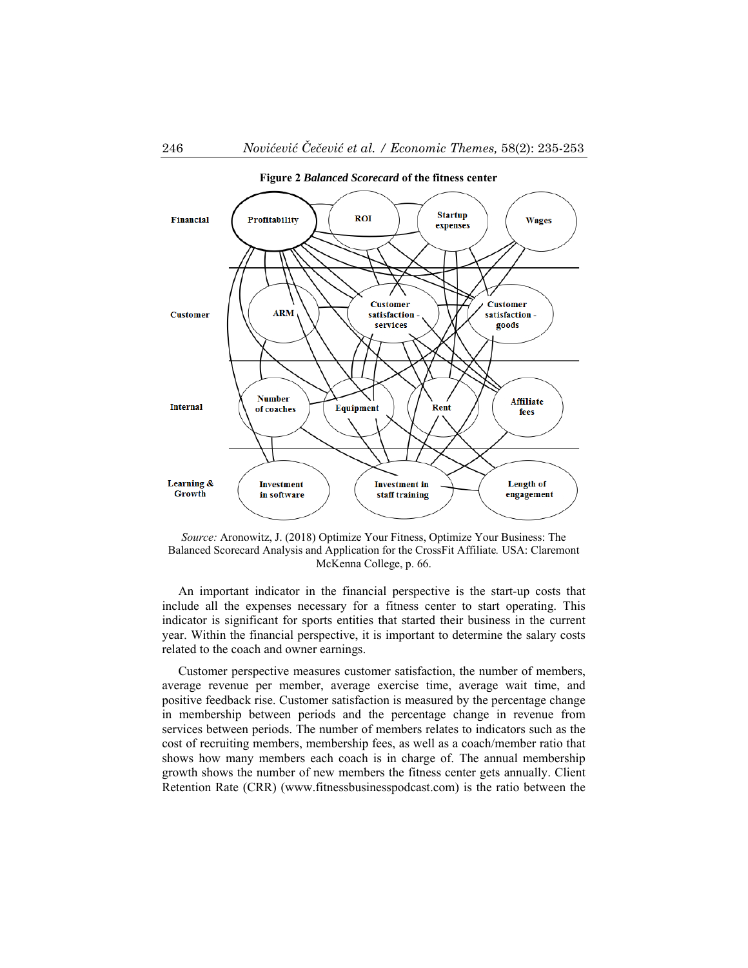

*Source:* Aronowitz, J. (2018) Optimize Your Fitness, Optimize Your Business: The Balanced Scorecard Analysis and Application for the CrossFit Affiliate*.* USA: Claremont McKenna College, p. 66.

An important indicator in the financial perspective is the start-up costs that include all the expenses necessary for a fitness center to start operating. This indicator is significant for sports entities that started their business in the current year. Within the financial perspective, it is important to determine the salary costs related to the coach and owner earnings.

Customer perspective measures customer satisfaction, the number of members, average revenue per member, average exercise time, average wait time, and positive feedback rise. Customer satisfaction is measured by the percentage change in membership between periods and the percentage change in revenue from services between periods. The number of members relates to indicators such as the cost of recruiting members, membership fees, as well as a coach/member ratio that shows how many members each coach is in charge of. The annual membership growth shows the number of new members the fitness center gets annually. Client Retention Rate (CRR) (www.fitnessbusinesspodcast.com) is the ratio between the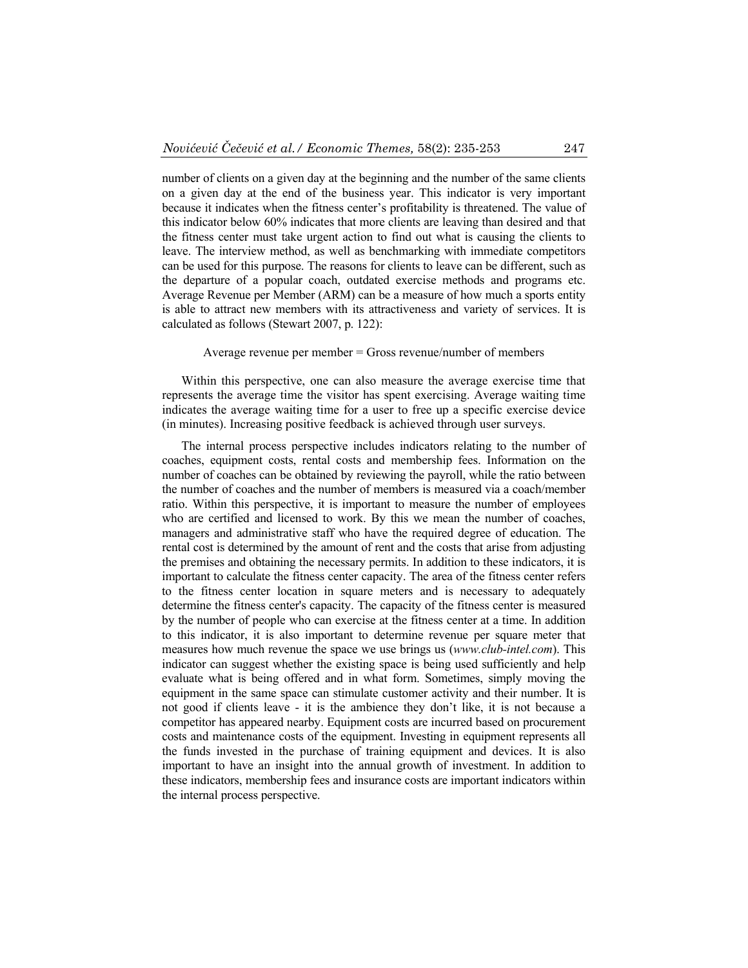number of clients on a given day at the beginning and the number of the same clients on a given day at the end of the business year. This indicator is very important because it indicates when the fitness center's profitability is threatened. The value of this indicator below 60% indicates that more clients are leaving than desired and that the fitness center must take urgent action to find out what is causing the clients to leave. The interview method, as well as benchmarking with immediate competitors can be used for this purpose. The reasons for clients to leave can be different, such as the departure of a popular coach, outdated exercise methods and programs etc. Average Revenue per Member (ARM) can be a measure of how much a sports entity is able to attract new members with its attractiveness and variety of services. It is calculated as follows (Stewart 2007, p. 122):

### Average revenue per member = Gross revenue/number of members

Within this perspective, one can also measure the average exercise time that represents the average time the visitor has spent exercising. Average waiting time indicates the average waiting time for a user to free up a specific exercise device (in minutes). Increasing positive feedback is achieved through user surveys.

The internal process perspective includes indicators relating to the number of coaches, equipment costs, rental costs and membership fees. Information on the number of coaches can be obtained by reviewing the payroll, while the ratio between the number of coaches and the number of members is measured via a coach/member ratio. Within this perspective, it is important to measure the number of employees who are certified and licensed to work. By this we mean the number of coaches, managers and administrative staff who have the required degree of education. The rental cost is determined by the amount of rent and the costs that arise from adjusting the premises and obtaining the necessary permits. In addition to these indicators, it is important to calculate the fitness center capacity. The area of the fitness center refers to the fitness center location in square meters and is necessary to adequately determine the fitness center's capacity. The capacity of the fitness center is measured by the number of people who can exercise at the fitness center at a time. In addition to this indicator, it is also important to determine revenue per square meter that measures how much revenue the space we use brings us (*www.club-intel.com*). This indicator can suggest whether the existing space is being used sufficiently and help evaluate what is being offered and in what form. Sometimes, simply moving the equipment in the same space can stimulate customer activity and their number. It is not good if clients leave - it is the ambience they don't like, it is not because a competitor has appeared nearby. Equipment costs are incurred based on procurement costs and maintenance costs of the equipment. Investing in equipment represents all the funds invested in the purchase of training equipment and devices. It is also important to have an insight into the annual growth of investment. In addition to these indicators, membership fees and insurance costs are important indicators within the internal process perspective.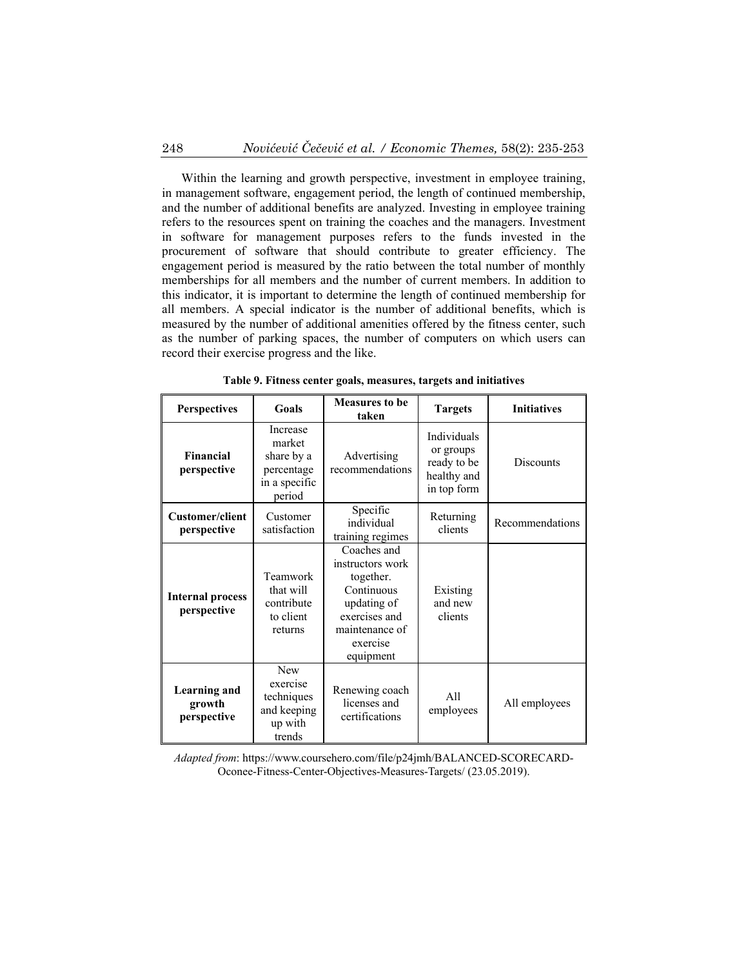Within the learning and growth perspective, investment in employee training, in management software, engagement period, the length of continued membership, and the number of additional benefits are analyzed. Investing in employee training refers to the resources spent on training the coaches and the managers. Investment in software for management purposes refers to the funds invested in the procurement of software that should contribute to greater efficiency. The engagement period is measured by the ratio between the total number of monthly memberships for all members and the number of current members. In addition to this indicator, it is important to determine the length of continued membership for all members. A special indicator is the number of additional benefits, which is measured by the number of additional amenities offered by the fitness center, such as the number of parking spaces, the number of computers on which users can record their exercise progress and the like.

| <b>Perspectives</b>                                                                                                      | Goals                                                                     | <b>Measures to be</b><br>taken                                                                                                        | <b>Targets</b>                                                               | <b>Initiatives</b> |
|--------------------------------------------------------------------------------------------------------------------------|---------------------------------------------------------------------------|---------------------------------------------------------------------------------------------------------------------------------------|------------------------------------------------------------------------------|--------------------|
| Financial<br>perspective                                                                                                 | Increase<br>market<br>share by a<br>percentage<br>in a specific<br>period | Advertising<br>recommendations                                                                                                        | <b>Individuals</b><br>or groups<br>ready to be<br>healthy and<br>in top form | <b>Discounts</b>   |
| <b>Customer/client</b><br>perspective                                                                                    | Customer<br>satisfaction                                                  | Specific<br>individual<br>training regimes                                                                                            | Returning<br>clients                                                         | Recommendations    |
| <b>Internal process</b><br>perspective                                                                                   | Teamwork<br>that will<br>contribute<br>to client<br>returns               | Coaches and<br>instructors work<br>together.<br>Continuous<br>updating of<br>exercises and<br>maintenance of<br>exercise<br>equipment | Existing<br>and new<br>clients                                               |                    |
| <b>New</b><br>exercise<br><b>Learning and</b><br>techniques<br>growth<br>and keeping<br>perspective<br>up with<br>trends |                                                                           | Renewing coach<br>licenses and<br>certifications                                                                                      | A11<br>employees                                                             | All employees      |

**Table 9. Fitness center goals, measures, targets and initiatives** 

*Adapted from*: https://www.coursehero.com/file/p24jmh/BALANCED-SCORECARD-Oconee-Fitness-Center-Objectives-Measures-Targets/ (23.05.2019).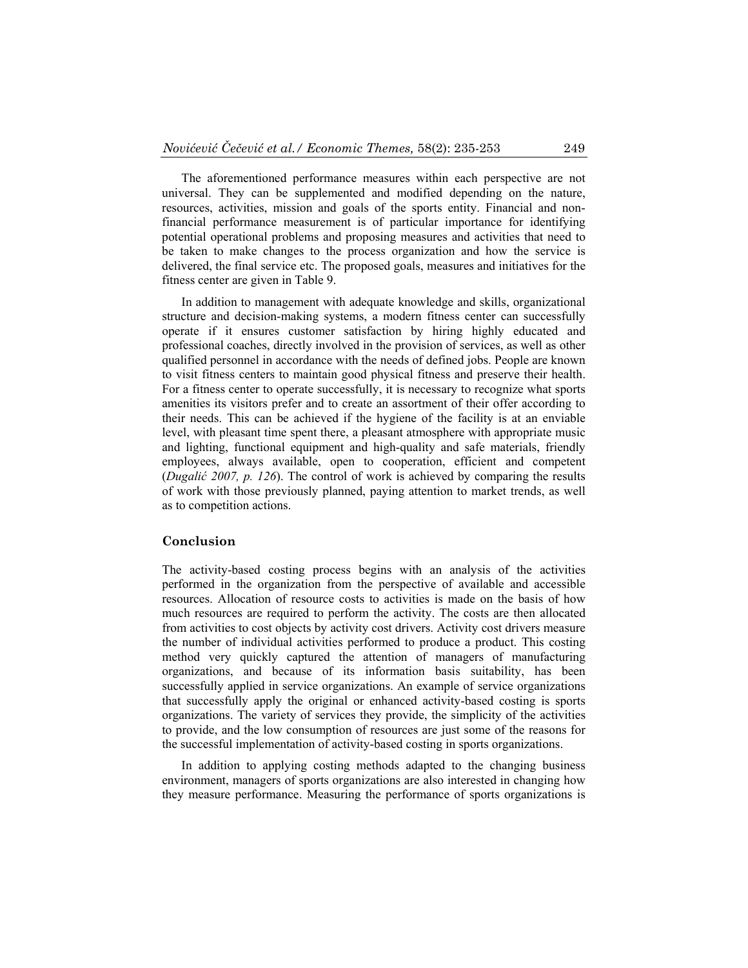The aforementioned performance measures within each perspective are not universal. They can be supplemented and modified depending on the nature, resources, activities, mission and goals of the sports entity. Financial and nonfinancial performance measurement is of particular importance for identifying potential operational problems and proposing measures and activities that need to be taken to make changes to the process organization and how the service is delivered, the final service etc. The proposed goals, measures and initiatives for the fitness center are given in Table 9.

In addition to management with adequate knowledge and skills, organizational structure and decision-making systems, a modern fitness center can successfully operate if it ensures customer satisfaction by hiring highly educated and professional coaches, directly involved in the provision of services, as well as other qualified personnel in accordance with the needs of defined jobs. People are known to visit fitness centers to maintain good physical fitness and preserve their health. For a fitness center to operate successfully, it is necessary to recognize what sports amenities its visitors prefer and to create an assortment of their offer according to their needs. This can be achieved if the hygiene of the facility is at an enviable level, with pleasant time spent there, a pleasant atmosphere with appropriate music and lighting, functional equipment and high-quality and safe materials, friendly employees, always available, open to cooperation, efficient and competent (*Dugalić 2007, p. 126*). The control of work is achieved by comparing the results of work with those previously planned, paying attention to market trends, as well as to competition actions.

#### **Conclusion**

The activity-based costing process begins with an analysis of the activities performed in the organization from the perspective of available and accessible resources. Allocation of resource costs to activities is made on the basis of how much resources are required to perform the activity. The costs are then allocated from activities to cost objects by activity cost drivers. Activity cost drivers measure the number of individual activities performed to produce a product. This costing method very quickly captured the attention of managers of manufacturing organizations, and because of its information basis suitability, has been successfully applied in service organizations. An example of service organizations that successfully apply the original or enhanced activity-based costing is sports organizations. The variety of services they provide, the simplicity of the activities to provide, and the low consumption of resources are just some of the reasons for the successful implementation of activity-based costing in sports organizations.

In addition to applying costing methods adapted to the changing business environment, managers of sports organizations are also interested in changing how they measure performance. Measuring the performance of sports organizations is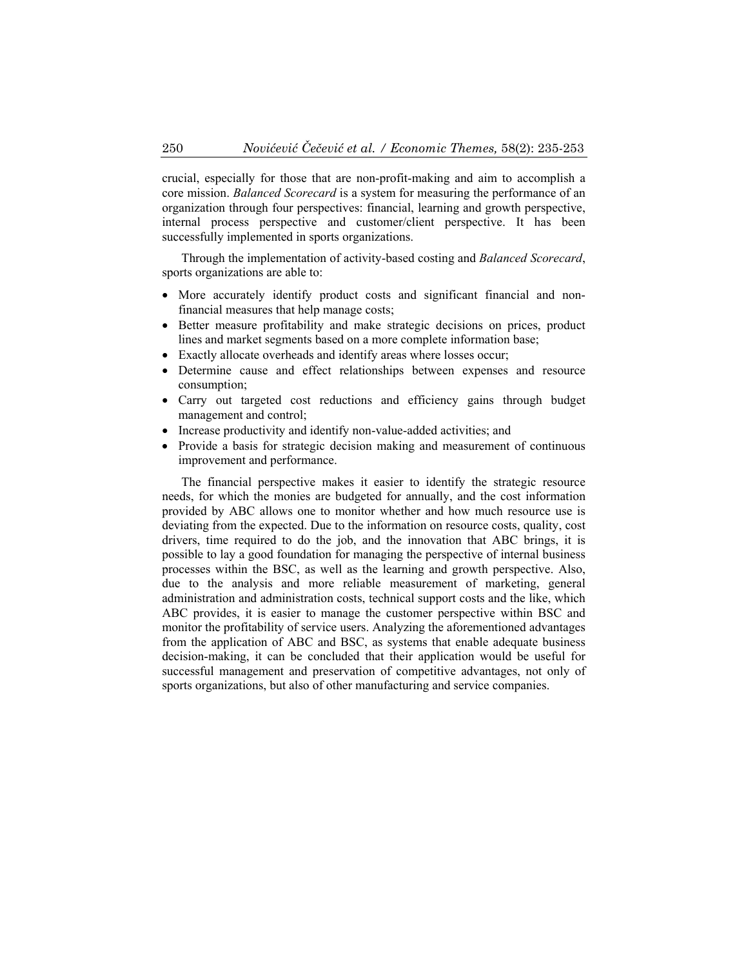crucial, especially for those that are non-profit-making and aim to accomplish a core mission. *Balanced Scorecard* is a system for measuring the performance of an organization through four perspectives: financial, learning and growth perspective, internal process perspective and customer/client perspective. It has been successfully implemented in sports organizations.

Through the implementation of activity-based costing and *Balanced Scorecard*, sports organizations are able to:

- More accurately identify product costs and significant financial and nonfinancial measures that help manage costs;
- Better measure profitability and make strategic decisions on prices, product lines and market segments based on a more complete information base;
- Exactly allocate overheads and identify areas where losses occur;
- Determine cause and effect relationships between expenses and resource consumption;
- Carry out targeted cost reductions and efficiency gains through budget management and control;
- Increase productivity and identify non-value-added activities; and
- Provide a basis for strategic decision making and measurement of continuous improvement and performance.

The financial perspective makes it easier to identify the strategic resource needs, for which the monies are budgeted for annually, and the cost information provided by ABC allows one to monitor whether and how much resource use is deviating from the expected. Due to the information on resource costs, quality, cost drivers, time required to do the job, and the innovation that ABC brings, it is possible to lay a good foundation for managing the perspective of internal business processes within the BSC, as well as the learning and growth perspective. Also, due to the analysis and more reliable measurement of marketing, general administration and administration costs, technical support costs and the like, which ABC provides, it is easier to manage the customer perspective within BSC and monitor the profitability of service users. Analyzing the aforementioned advantages from the application of ABC and BSC, as systems that enable adequate business decision-making, it can be concluded that their application would be useful for successful management and preservation of competitive advantages, not only of sports organizations, but also of other manufacturing and service companies.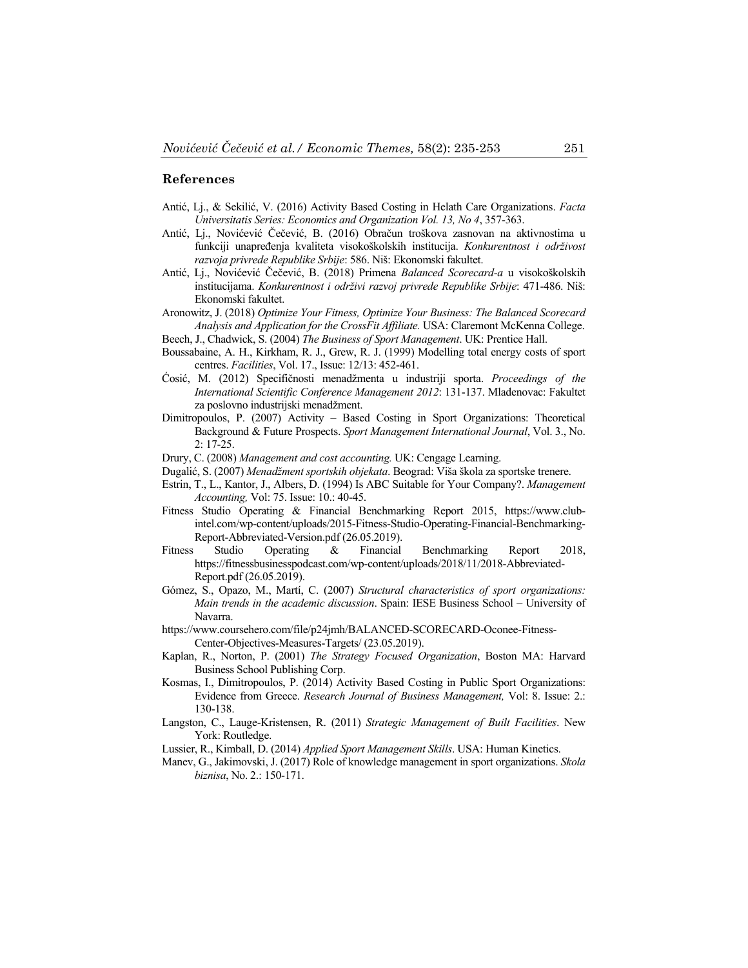#### **References**

- Antić, Lj., & Sekilić, V. (2016) Activity Based Costing in Helath Care Organizations. *Facta Universitatis Series: Economics and Organization Vol. 13, No 4*, 357-363.
- Antić, Lj., Novićević Čečević, B. (2016) Obračun troškova zasnovan na aktivnostima u funkciji unapređenja kvaliteta visokoškolskih institucija. *Konkurentnost i održivost razvoja privrede Republike Srbije*: 586. Niš: Ekonomski fakultet.
- Antić, Lj., Novićević Čečević, B. (2018) Primena *Balanced Scorecard-a* u visokoškolskih institucijama. *Konkurentnost i održivi razvoj privrede Republike Srbije*: 471-486. Niš: Ekonomski fakultet.
- Aronowitz, J. (2018) *Optimize Your Fitness, Optimize Your Business: The Balanced Scorecard Analysis and Application for the CrossFit Affiliate.* USA: Claremont McKenna College.
- Beech, J., Chadwick, S. (2004) *The Business of Sport Management*. UK: Prentice Hall. Boussabaine, A. H., Kirkham, R. J., Grew, R. J. (1999) Modelling total energy costs of sport
- centres. *Facilities*, Vol. 17., Issue: 12/13: 452-461.
- Ćosić, M. (2012) Specifičnosti menadžmenta u industriji sporta. *Proceedings of the International Scientific Conference Management 2012*: 131-137. Mladenovac: Fakultet za poslovno industrijski menadžment.
- Dimitropoulos, P. (2007) Activity Based Costing in Sport Organizations: Theoretical Background & Future Prospects. *Sport Management International Journal*, Vol. 3., No. 2: 17-25.
- Drury, C. (2008) *Management and cost accounting.* UK: Cengage Learning.
- Dugalić, S. (2007) *Menadžment sportskih objekata*. Beograd: Viša škola za sportske trenere.
- Estrin, T., L., Kantor, J., Albers, D. (1994) Is ABC Suitable for Your Company?. *Management Accounting,* Vol: 75. Issue: 10.: 40-45.
- Fitness Studio Operating & Financial Benchmarking Report 2015, https://www.clubintel.com/wp-content/uploads/2015-Fitness-Studio-Operating-Financial-Benchmarking-Report-Abbreviated-Version.pdf (26.05.2019).
- Fitness Studio Operating & Financial Benchmarking Report 2018, https://fitnessbusinesspodcast.com/wp-content/uploads/2018/11/2018-Abbreviated-Report.pdf (26.05.2019).
- Gómez, S., Opazo, M., Martí, C. (2007) *Structural characteristics of sport organizations: Main trends in the academic discussion*. Spain: IESE Business School – University of Navarra.
- https://www.coursehero.com/file/p24jmh/BALANCED-SCORECARD-Oconee-Fitness-Center-Objectives-Measures-Targets/ (23.05.2019).
- Kaplan, R., Norton, P. (2001) *The Strategy Focused Organization*, Boston MA: Harvard Business School Publishing Corp.
- Kosmas, I., Dimitropoulos, P. (2014) Activity Based Costing in Public Sport Organizations: Evidence from Greece. *Research Journal of Business Management,* Vol: 8. Issue: 2.: 130-138.
- Langston, C., Lauge-Kristensen, R. (2011) *Strategic Management of Built Facilities*. New York: Routledge.
- Lussier, R., Kimball, D. (2014) *Applied Sport Management Skills*. USA: Human Kinetics.
- Manev, G., Jakimovski, J. (2017) Role of knowledge management in sport organizations. *Skola biznisa*, No. 2.: 150-171.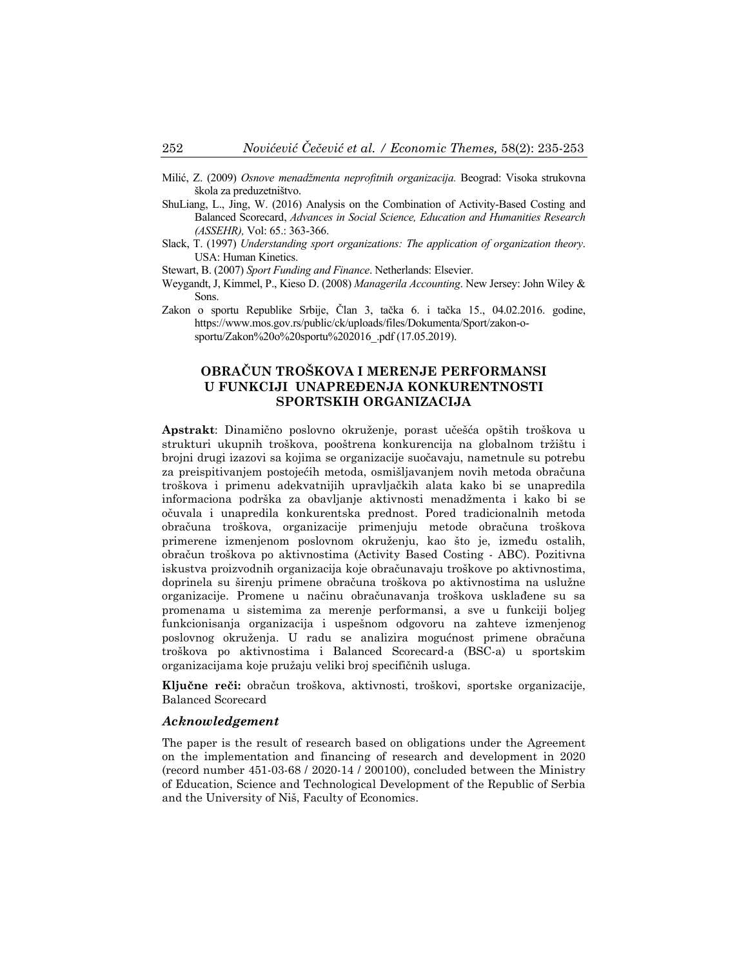- Milić, Z. (2009) *Osnove menadžmenta neprofitnih organizacija.* Beograd: Visoka strukovna škola za preduzetništvo.
- ShuLiang, L., Jing, W. (2016) Analysis on the Combination of Activity-Based Costing and Balanced Scorecard, *Advances in Social Science, Education and Humanities Research (ASSEHR),* Vol: 65.: 363-366.
- Slack, T. (1997) *Understanding sport organizations: The application of organization theory*. USA: Human Kinetics.
- Stewart, B. (2007) *Sport Funding and Finance*. Netherlands: Elsevier.
- Weygandt, J, Kimmel, P., Kieso D. (2008) *Managerila Accounting*. New Jersey: John Wiley & Sons.
- Zakon o sportu Republike Srbije, Član 3, tačka 6. i tačka 15., 04.02.2016. godine, https://www.mos.gov.rs/public/ck/uploads/files/Dokumenta/Sport/zakon-osportu/Zakon%20o%20sportu%202016\_.pdf (17.05.2019).

### **OBRAČUN TROŠKOVA I MERENJE PERFORMANSI U FUNKCIJI UNAPREĐENJA KONKURENTNOSTI SPORTSKIH ORGANIZACIJA**

**Apstrakt**: Dinamično poslovno okruženje, porast učešća opštih troškova u strukturi ukupnih troškova, pooštrena konkurencija na globalnom tržištu i brojni drugi izazovi sa kojima se organizacije suočavaju, nametnule su potrebu za preispitivanjem postojećih metoda, osmišljavanjem novih metoda obračuna troškova i primenu adekvatnijih upravljačkih alata kako bi se unapredila informaciona podrška za obavljanje aktivnosti menadžmenta i kako bi se očuvala i unapredila konkurentska prednost. Pored tradicionalnih metoda obračuna troškova, organizacije primenjuju metode obračuna troškova primerene izmenjenom poslovnom okruženju, kao što je, između ostalih, obračun troškova po aktivnostima (Activity Based Costing - ABC). Pozitivna iskustva proizvodnih organizacija koje obračunavaju troškove po aktivnostima, doprinela su širenju primene obračuna troškova po aktivnostima na uslužne organizacije. Promene u načinu obračunavanja troškova usklađene su sa promenama u sistemima za merenje performansi, a sve u funkciji boljeg funkcionisanja organizacija i uspešnom odgovoru na zahteve izmenjenog poslovnog okruženja. U radu se analizira mogućnost primene obračuna troškova po aktivnostima i Balanced Scorecard-a (BSC-a) u sportskim organizacijama koje pružaju veliki broj specifičnih usluga.

**Ključne reči:** obračun troškova, aktivnosti, troškovi, sportske organizacije, Balanced Scorecard

#### *Acknowledgement*

The paper is the result of research based on obligations under the Agreement on the implementation and financing of research and development in 2020 (record number 451-03-68 / 2020-14 / 200100), concluded between the Ministry of Education, Science and Technological Development of the Republic of Serbia and the University of Niš, Faculty of Economics.